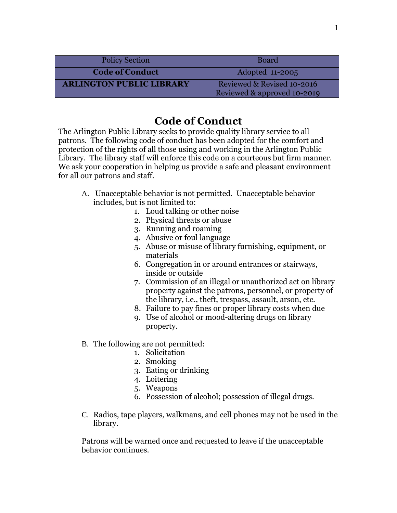| <b>Policy Section</b>           | <b>Board</b>                                              |
|---------------------------------|-----------------------------------------------------------|
| <b>Code of Conduct</b>          | Adopted 11-2005                                           |
| <b>ARLINGTON PUBLIC LIBRARY</b> | Reviewed & Revised 10-2016<br>Reviewed & approved 10-2019 |

## **Code of Conduct**

The Arlington Public Library seeks to provide quality library service to all patrons. The following code of conduct has been adopted for the comfort and protection of the rights of all those using and working in the Arlington Public Library. The library staff will enforce this code on a courteous but firm manner. We ask your cooperation in helping us provide a safe and pleasant environment for all our patrons and staff.

- A. Unacceptable behavior is not permitted. Unacceptable behavior includes, but is not limited to:
	- 1. Loud talking or other noise
		- 2. Physical threats or abuse
		- 3. Running and roaming
		- 4. Abusive or foul language
		- 5. Abuse or misuse of library furnishing, equipment, or materials
		- 6. Congregation in or around entrances or stairways, inside or outside
		- 7. Commission of an illegal or unauthorized act on library property against the patrons, personnel, or property of the library, i.e., theft, trespass, assault, arson, etc.
		- 8. Failure to pay fines or proper library costs when due
	- 9. Use of alcohol or mood-altering drugs on library property.
- B. The following are not permitted:
	- 1. Solicitation
	- 2. Smoking
	- 3. Eating or drinking
	- 4. Loitering
	- 5. Weapons
	- 6. Possession of alcohol; possession of illegal drugs.
- C. Radios, tape players, walkmans, and cell phones may not be used in the library.

Patrons will be warned once and requested to leave if the unacceptable behavior continues.